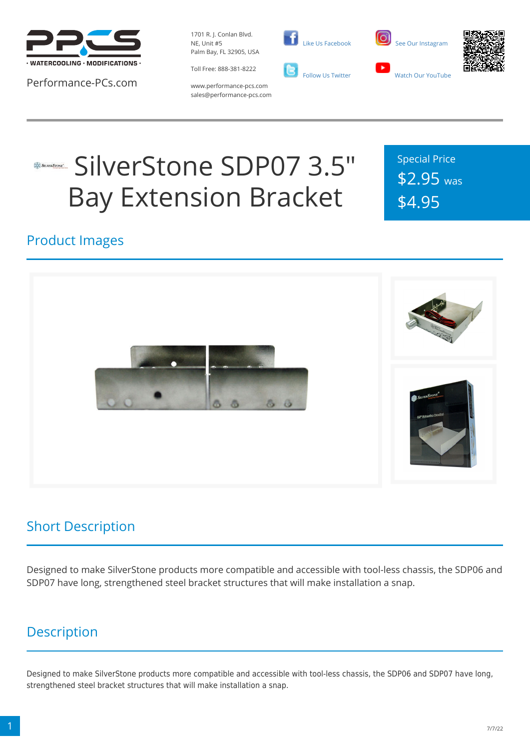

Performance-PCs.com

1701 R. J. Conlan Blvd. NE, Unit #5 Palm Bay, FL 32905, USA



 [Like Us Facebook](https://www.facebook.com/PerformancePCs)  [Follow Us Twitter](https://twitter.com/PerformancePCs)





www.performance-pcs.com sales@performance-pcs.com

# SilverStone SDP07 3.5" Bay Extension Bracket

Special Price \$2.95 was \$4.95

#### Product Images



### Short Description

Designed to make SilverStone products more compatible and accessible with tool-less chassis, the SDP06 and SDP07 have long, strengthened steel bracket structures that will make installation a snap.

### **Description**

Designed to make SilverStone products more compatible and accessible with tool-less chassis, the SDP06 and SDP07 have long, strengthened steel bracket structures that will make installation a snap.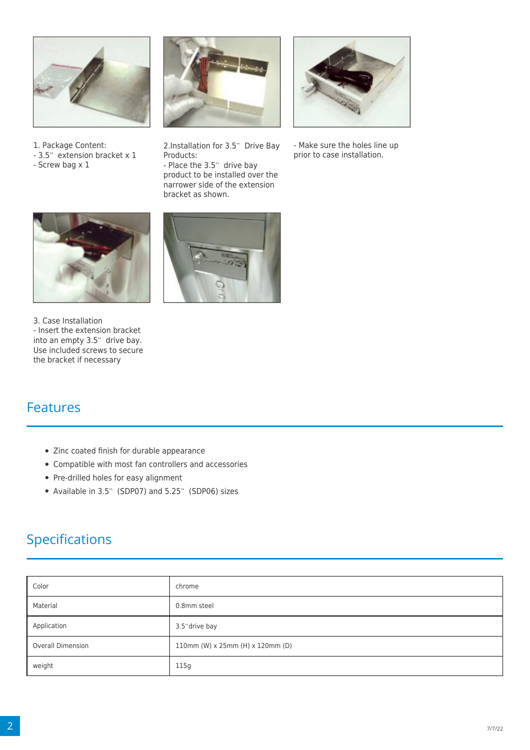

- 1. Package Content:
- 3.5" extension bracket x 1
- Screw bag x 1



2.Installation for 3.5" Drive Bay Products:

- Place the 3.5" drive bay product to be installed over the narrower side of the extension bracket as shown.



- Make sure the holes line up prior to case installation.



3. Case Installation - Insert the extension bracket into an empty 3.5" drive bay. Use included screws to secure the bracket if necessary



#### Features

- Zinc coated finish for durable appearance
- Compatible with most fan controllers and accessories
- Pre-drilled holes for easy alignment
- Available in 3.5" (SDP07) and 5.25" (SDP06) sizes

## Specifications

| Color                    | chrome                           |
|--------------------------|----------------------------------|
| Material                 | 0.8mm steel                      |
| Application              | 3.5" drive bay                   |
| <b>Overall Dimension</b> | 110mm (W) x 25mm (H) x 120mm (D) |
| weight                   | 115g                             |